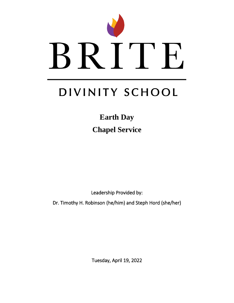

# DIVINITY SCHOOL

**Earth Day Chapel Service** 

Leadership Provided by:

Dr. Timothy H. Robinson (he/him) and Steph Hord (she/her)

Tuesday, April 19, 2022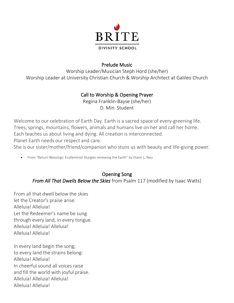

#### Prelude Music

Worship Leader/Musician Steph Hord (she/her) Worship Leader at University Christian Church & Worship Architect at Galileo Church

#### Call to Worship & Opening Prayer

Regina Franklin-Bayse (she/her) D. Min. Student

Welcome to our celebration of Earth Day. Earth is a sacred space of every-greening life. Trees, springs, mountains, flowers, animals and humans live on her and call her home. Each teaches us about living and dying. All creation is interconnected. Planet Earth needs our respect and care.

She is our sister/mother/friend/companion who stuns us with beauty and life-giving power.

• From "Return Blessings: Ecofeminist liturgies renewing the Earth" by Diann L. Neu

#### Opening Song *From All That Dwells Below the Skies* from Psalm 117 (modified by Isaac Watts)

From all that dwell below the skies let the Creator's praise arise: Alleluia! Alleluia! Let the Redeemer's name be sung through every land, in every tongue. Alleluia! Alleluia! Alleluia! Alleluia! Alleluia!

In every land begin the song; to every land the strains belong: Alleluia! Alleluia! In cheerful sound all voices raise and fill the world with joyful praise. Alleluia! Alleluia! Alleluia! Alleluia! Alleluia!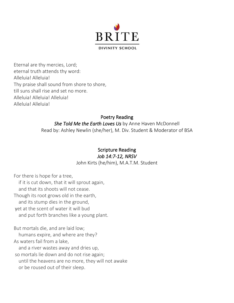

Eternal are thy mercies, Lord; eternal truth attends thy word: Alleluia! Alleluia! Thy praise shall sound from shore to shore, till suns shall rise and set no more. Alleluia! Alleluia! Alleluia! Alleluia! Alleluia!

#### Poetry Reading

*She Told Me the Earth Loves Us* by Anne Haven McDonnell Read by: Ashley Newlin (she/her), M. Div. Student & Moderator of BSA

#### Scripture Reading *Job 14:7-12, NRSV*

John Kirts (he/him), M.A.T.M. Student

For there is hope for a tree, if it is cut down, that it will sprout again, and that its shoots will not cease. Though its root grows old in the earth, and its stump dies in the ground, yet at the scent of water it will bud and put forth branches like a young plant.

But mortals die, and are laid low; humans expire, and where are they? As waters fail from a lake, and a river wastes away and dries up, so mortals lie down and do not rise again; until the heavens are no more, they will not awake or be roused out of their sleep.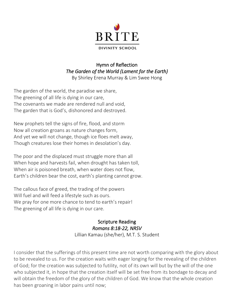

# Hymn of Reflection *The Garden of the World (Lament for the Earth)*

By Shirley Erena Murray & Lim Swee Hong

The garden of the world, the paradise we share, The greening of all life is dying in our care, The covenants we made are rendered null and void, The garden that is God's, dishonored and destroyed.

New prophets tell the signs of fire, flood, and storm Now all creation groans as nature changes form, And yet we will not change, though ice floes melt away, Though creatures lose their homes in desolation's day.

The poor and the displaced must struggle more than all When hope and harvests fail, when drought has taken toll, When air is poisoned breath, when water does not flow, Earth's children bear the cost, earth's planting cannot grow.

The callous face of greed, the trading of the powers Will fuel and will feed a lifestyle such as ours. We pray for one more chance to tend to earth's repair! The greening of all life is dying in our care.

> Scripture Reading *Romans 8:18-22, NRSV*  Lillian Kamau (she/her), M.T. S. Student

I consider that the sufferings of this present time are not worth comparing with the glory about to be revealed to us. For the creation waits with eager longing for the revealing of the children of God; for the creation was subjected to futility, not of its own will but by the will of the one who subjected it, in hope that the creation itself will be set free from its bondage to decay and will obtain the freedom of the glory of the children of God. We know that the whole creation has been groaning in labor pains until now;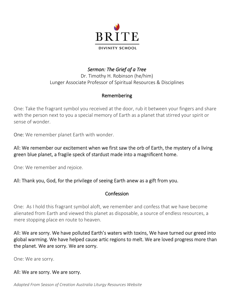

*Sermon: The Grief of a Tree* Dr. Timothy H. Robinson (he/him) Lunger Associate Professor of Spiritual Resources & Disciplines

#### Remembering

One: Take the fragrant symbol you received at the door, rub it between your fingers and share with the person next to you a special memory of Earth as a planet that stirred your spirit or sense of wonder.

One: We remember planet Earth with wonder.

#### All: We remember our excitement when we first saw the orb of Earth, the mystery of a living green blue planet, a fragile speck of stardust made into a magnificent home.

One: We remember and rejoice.

#### All: Thank you, God, for the privilege of seeing Earth anew as a gift from you.

#### Confession

One: As I hold this fragrant symbol aloft, we remember and confess that we have become alienated from Earth and viewed this planet as disposable, a source of endless resources, a mere stopping place en route to heaven.

All: We are sorry. We have polluted Earth's waters with toxins, We have turned our greed into global warming. We have helped cause artic regions to melt. We are loved progress more than the planet. We are sorry. We are sorry.

One: We are sorry.

#### All: We are sorry. We are sorry.

*Adapted From Season of Creation Australia Liturgy Resources Website*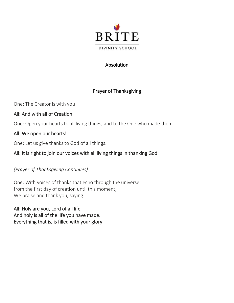

#### Absolution

## Prayer of Thanksgiving

One: The Creator is with you!

#### All: And with all of Creation

One: Open your hearts to all living things, and to the One who made them

#### All: We open our hearts!

One: Let us give thanks to God of all things.

### All: It is right to join our voices with all living things in thanking God.

#### *(Prayer of Thanksgiving Continues)*

One: With voices of thanks that echo through the universe from the first day of creation until this moment, We praise and thank you, saying:

All: Holy are you, Lord of all life And holy is all of the life you have made. Everything that is, is filled with your glory.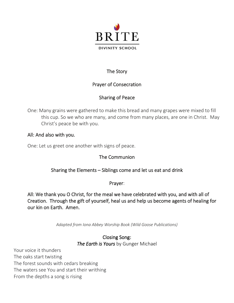

## The Story

#### Prayer of Consecration

# Sharing of Peace

One: Many grains were gathered to make this bread and many grapes were mixed to fill this cup. So we who are many, and come from many places, are one in Christ. May Christ's peace be with you.

#### All: And also with you.

One: Let us greet one another with signs of peace.

# The Communion

# Sharing the Elements – Siblings come and let us eat and drink

Prayer:

All: We thank you O Christ, for the meal we have celebrated with you, and with all of Creation. Through the gift of yourself, heal us and help us become agents of healing for our kin on Earth. Amen.

*Adapted from Iona Abbey Worship Book (Wild Goose Publications)*

#### Closing Song: *The Earth is Yours* by Gunger Michael

Your voice it thunders The oaks start twisting The forest sounds with cedars breaking The waters see You and start their writhing From the depths a song is rising